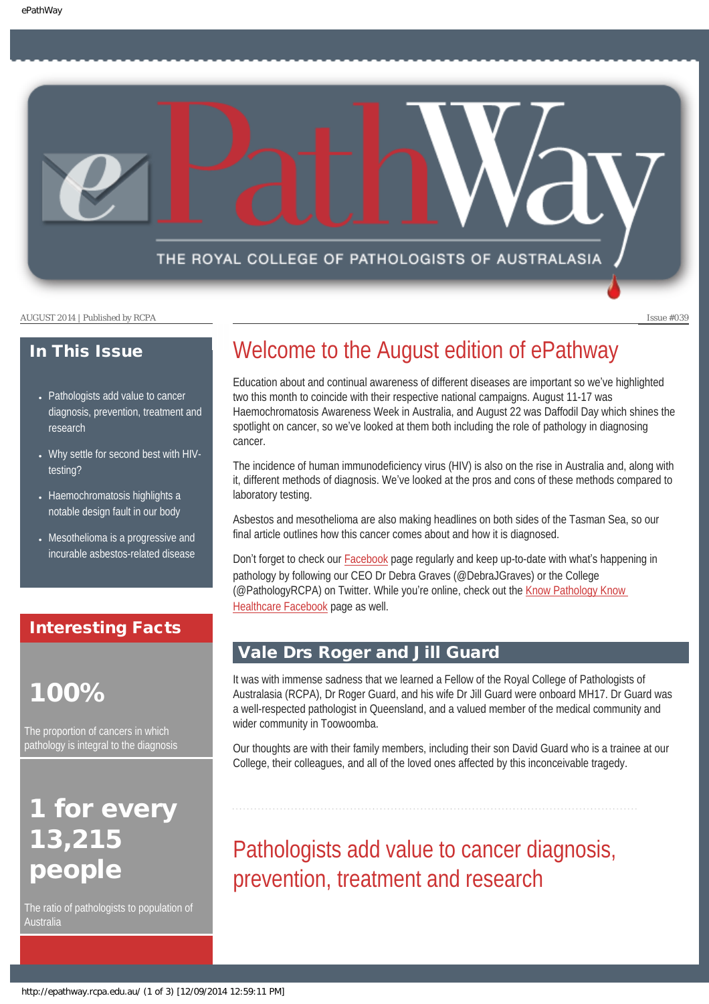THE ROYAL COLLEGE OF PATHOLOGISTS OF AUSTRALASIA

AUGUST 2014 | Published by RCPA Issue #039

### In This Issue

- Pathologists add value to cancer [diagnosis, prevention, treatment and](#page-0-0) [research](#page-0-0)
- [Why settle for second best with HIV](#page-1-0)[testing?](#page-1-0)
- Haemochromatosis highlights a [notable design fault in our body](#page-2-0)
- Mesothelioma is a progressive and [incurable asbestos-related disease](#page-2-1)

### Interesting Facts

# 100%

The proportion of cancers in which pathology is integral to the diagnosis

# <span id="page-0-0"></span>for every 13,215 people

The ratio of pathologists to population of Australia

## Welcome to the August edition of ePathway

Education about and continual awareness of different diseases are important so we've highlighted two this month to coincide with their respective national campaigns. August 11-17 was Haemochromatosis Awareness Week in Australia, and August 22 was Daffodil Day which shines the spotlight on cancer, so we've looked at them both including the role of pathology in diagnosing cancer.

The incidence of human immunodeficiency virus (HIV) is also on the rise in Australia and, along with it, different methods of diagnosis. We've looked at the pros and cons of these methods compared to laboratory testing.

Asbestos and mesothelioma are also making headlines on both sides of the Tasman Sea, so our final article outlines how this cancer comes about and how it is diagnosed.

Don't forget to check our [Facebook](https://www.facebook.com/TheRoyalCollegeOfPathologistsOfAustralasia) page regularly and keep up-to-date with what's happening in pathology by following our CEO Dr Debra Graves (@DebraJGraves) or the College (@PathologyRCPA) on Twitter. While you're online, check out the [Know Pathology Know](https://www.facebook.com/KnowPathology)  [Healthcare Facebook](https://www.facebook.com/KnowPathology) page as well.

### Vale Drs Roger and Jill Guard

It was with immense sadness that we learned a Fellow of the Royal College of Pathologists of Australasia (RCPA), Dr Roger Guard, and his wife Dr Jill Guard were onboard MH17. Dr Guard was a well-respected pathologist in Queensland, and a valued member of the medical community and wider community in Toowoomba.

Our thoughts are with their family members, including their son David Guard who is a trainee at our College, their colleagues, and all of the loved ones affected by this inconceivable tragedy.

Pathologists add value to cancer diagnosis, prevention, treatment and research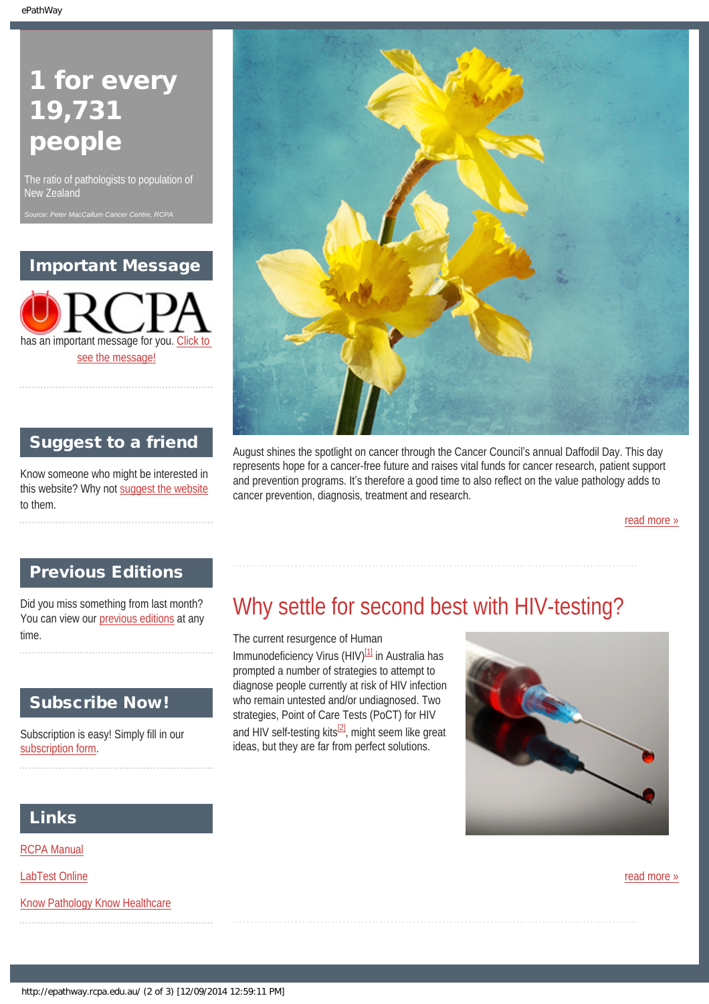# 1 for every 19,731 people

The ratio of pathologists to population of

### Important Message

has an important message for you. [Click to](http://epathway.rcpa.edu.au/notice.html)  [see the message!](http://epathway.rcpa.edu.au/notice.html)

Suggest to a friend

Know someone who might be interested in this website? Why not [suggest the website](mailto:?Subject=I%20think%20you%20should%20read%20this%20Newsletter=
http://epathway.rcpa.edu.au/index.html)



August shines the spotlight on cancer through the Cancer Council's annual Daffodil Day. This day represents hope for a cancer-free future and raises vital funds for cancer research, patient support and prevention programs. It's therefore a good time to also reflect on the value pathology adds to cancer prevention, diagnosis, treatment and research.

[read more »](#page-5-0)

### Previous Editions

<span id="page-1-0"></span>Did you miss something from last month? You can view our [previous editions](#page-3-0) at any time.

### Subscribe Now!

Subscription is easy! Simply fill in our [subscription form.](http://epathway.rcpa.edu.au/subscription.html)

## Why settle for second best with HIV-testing?

The current resurgence of Human Immunodeficiency Virus (HIV)<sup>[1]</sup> in Australia has prompted a number of strategies to attempt to diagnose people currently at risk of HIV infection who remain untested and/or undiagnosed. Two strategies, Point of Care Tests (PoCT) for HIV and HIV self-testing kits $^{[2]}$ , might seem like great ideas, but they are far from perfect solutions.



### Links

to them.

[RCPA Manual](http://rcpamanual.edu.au/)

[LabTest Online](http://www.labtestsonline.org.au/)

[Know Pathology Know Healthcare](http://knowpathology.com.au/)

[read more »](#page-7-0)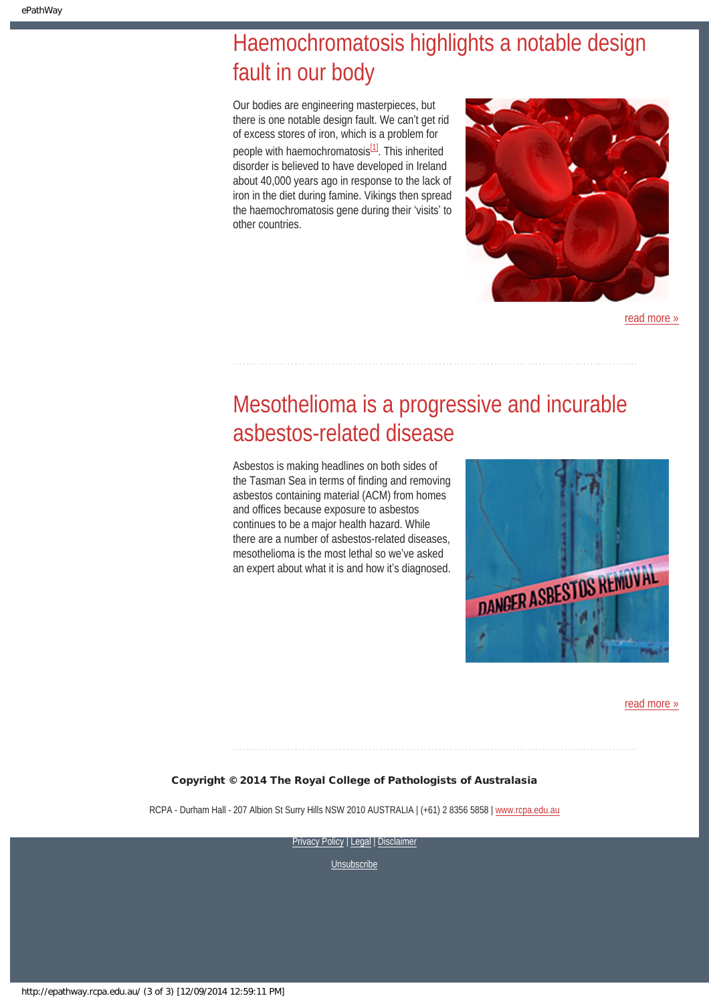## <span id="page-2-0"></span>Haemochromatosis highlights a notable design fault in our body

Our bodies are engineering masterpieces, but there is one notable design fault. We can't get rid of excess stores of iron, which is a problem for people with haemochromatosis<sup>[\[1\]](#page-10-0)</sup>. This inherited disorder is believed to have developed in Ireland about 40,000 years ago in response to the lack of iron in the diet during famine. Vikings then spread the haemochromatosis gene during their 'visits' to other countries.



[read more »](#page-9-0)

# <span id="page-2-1"></span>Mesothelioma is a progressive and incurable asbestos-related disease

Asbestos is making headlines on both sides of the Tasman Sea in terms of finding and removing asbestos containing material (ACM) from homes and offices because exposure to asbestos continues to be a major health hazard. While there are a number of asbestos-related diseases, mesothelioma is the most lethal so we've asked an expert about what it is and how it's diagnosed.



[read more »](#page-11-0)

### Copyright © 2014 The Royal College of Pathologists of Australasia

RCPA - Durham Hall - 207 Albion St Surry Hills NSW 2010 AUSTRALIA | (+61) 2 8356 5858 | [www.rcpa.edu.au](http://www.rcpa.edu.au/)

[Privacy Policy](http://www.rcpa.edu.au/Content-Library/Privacy.aspx) | [Legal](http://www.rcpa.edu.au/Legal.aspx) | Disclaimer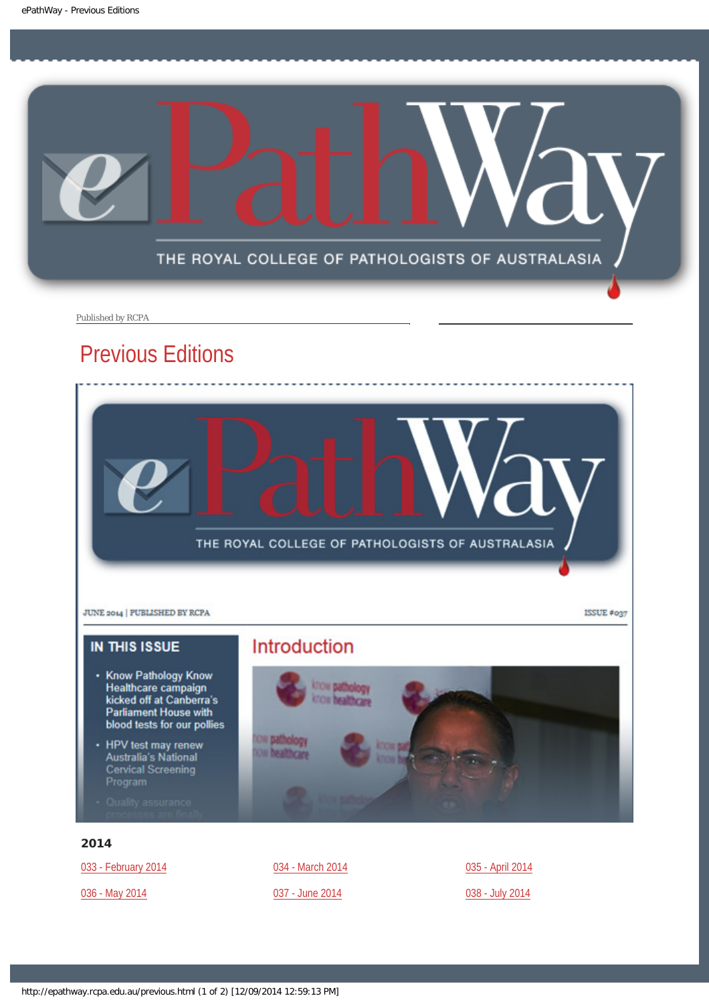<span id="page-3-0"></span>

Published by RCPA

## Previous Editions



- HPV test may renew<br>Australia's National<br>Cervical Screening<br>Program
- 

## 2014

[033 - February 2014](http://epathway.rcpa.edu.au/previous/033_0214.pdf)

[036 - May 2014](http://epathway.rcpa.edu.au/previous/036_0514.pdf)

[034 - March 2014](http://epathway.rcpa.edu.au/previous/034_0314.pdf) [037 - June 2014](http://epathway.rcpa.edu.au/previous/037_0614.pdf)

[035 - April 2014](http://epathway.rcpa.edu.au/previous/035_0414.pdf) [038 - July 2014](http://epathway.rcpa.edu.au/previous/038_0714.pdf)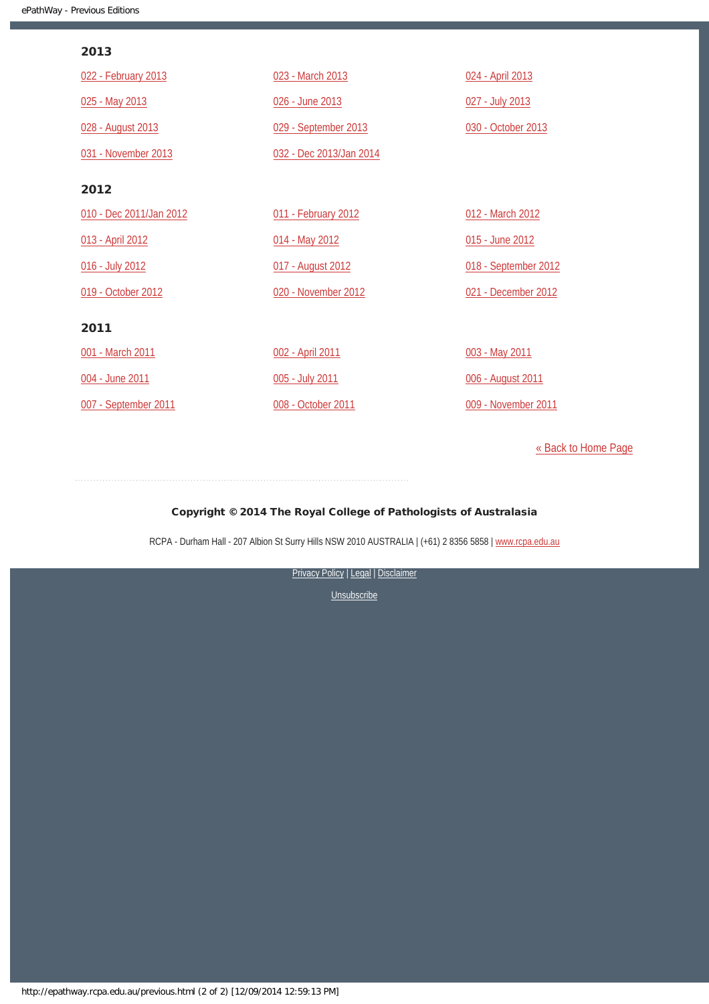### 2013

| 022 - February 2013     | 023 - March 2013        | 024 - April 2013     |
|-------------------------|-------------------------|----------------------|
| 025 - May 2013          | 026 - June 2013         | 027 - July 2013      |
| 028 - August 2013       | 029 - September 2013    | 030 - October 2013   |
| 031 - November 2013     | 032 - Dec 2013/Jan 2014 |                      |
| 2012                    |                         |                      |
| 010 - Dec 2011/Jan 2012 | 011 - February 2012     | 012 - March 2012     |
| 013 - April 2012        | 014 - May 2012          | 015 - June 2012      |
| 016 - July 2012         | 017 - August 2012       | 018 - September 2012 |
| 019 - October 2012      | 020 - November 2012     | 021 - December 2012  |
| 2011                    |                         |                      |
| 001 - March 2011        | 002 - April 2011        | 003 - May 2011       |
| 004 - June 2011         | 005 - July 2011         | 006 - August 2011    |
| 007 - September 2011    | 008 - October 2011      | 009 - November 2011  |

[« Back to Home Page](http://epathway.rcpa.edu.au/index.html)

### Copyright © 2014 The Royal College of Pathologists of Australasia

RCPA - Durham Hall - 207 Albion St Surry Hills NSW 2010 AUSTRALIA | (+61) 2 8356 5858 | [www.rcpa.edu.au](http://www.rcpa.edu.au/)

[Privacy Policy](http://www.rcpa.edu.au/Content-Library/Privacy.aspx) | [Legal](http://www.rcpa.edu.au/Legal.aspx) | Disclaimer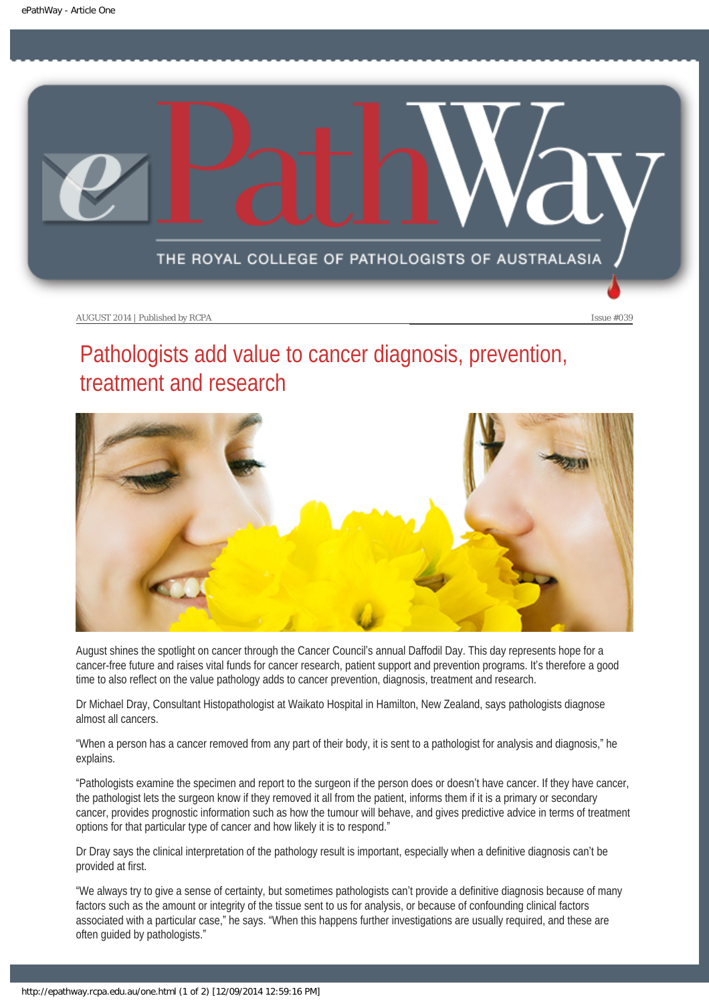<span id="page-5-0"></span>

# Pathologists add value to cancer diagnosis, prevention, treatment and research



August shines the spotlight on cancer through the Cancer Council's annual Daffodil Day. This day represents hope for a cancer-free future and raises vital funds for cancer research, patient support and prevention programs. It's therefore a good time to also reflect on the value pathology adds to cancer prevention, diagnosis, treatment and research.

Dr Michael Dray, Consultant Histopathologist at Waikato Hospital in Hamilton, New Zealand, says pathologists diagnose almost all cancers.

"When a person has a cancer removed from any part of their body, it is sent to a pathologist for analysis and diagnosis," he explains.

"Pathologists examine the specimen and report to the surgeon if the person does or doesn't have cancer. If they have cancer, the pathologist lets the surgeon know if they removed it all from the patient, informs them if it is a primary or secondary cancer, provides prognostic information such as how the tumour will behave, and gives predictive advice in terms of treatment options for that particular type of cancer and how likely it is to respond."

Dr Dray says the clinical interpretation of the pathology result is important, especially when a definitive diagnosis can't be provided at first.

"We always try to give a sense of certainty, but sometimes pathologists can't provide a definitive diagnosis because of many factors such as the amount or integrity of the tissue sent to us for analysis, or because of confounding clinical factors associated with a particular case," he says. "When this happens further investigations are usually required, and these are often guided by pathologists."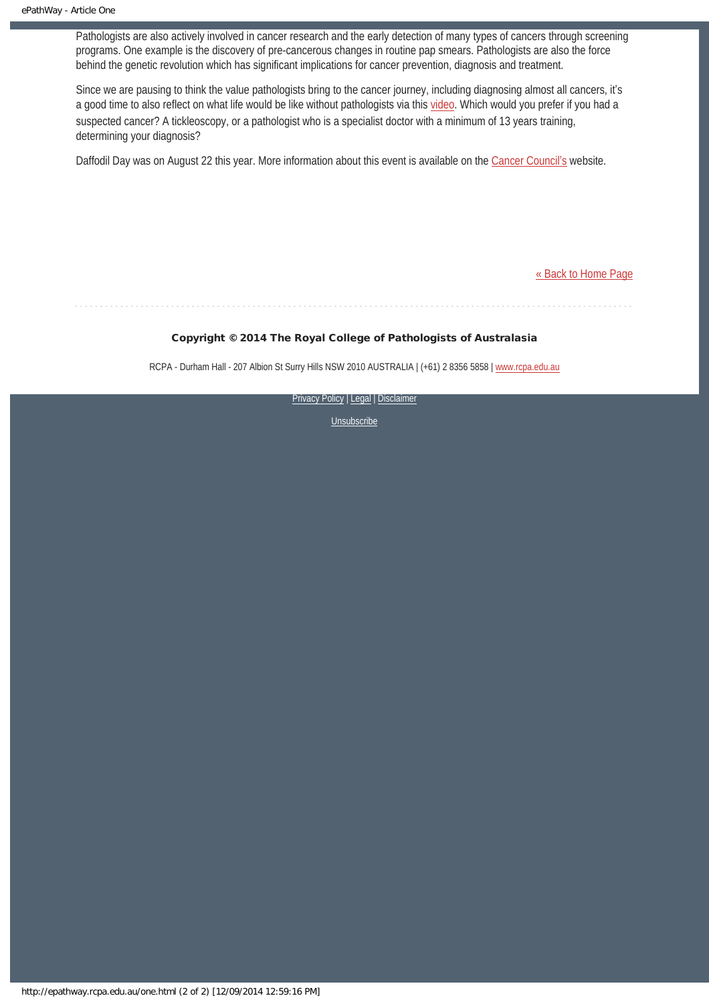Pathologists are also actively involved in cancer research and the early detection of many types of cancers through screening programs. One example is the discovery of pre-cancerous changes in routine pap smears. Pathologists are also the force behind the genetic revolution which has significant implications for cancer prevention, diagnosis and treatment.

Since we are pausing to think the value pathologists bring to the cancer journey, including diagnosing almost all cancers, it's a good time to also reflect on what life would be like without pathologists via this [video](http://worldwithoutpathology.rcpa.edu.au/). Which would you prefer if you had a suspected cancer? A tickleoscopy, or a pathologist who is a specialist doctor with a minimum of 13 years training, determining your diagnosis?

Daffodil Day was on August 22 this year. More information about this event is available on the [Cancer Council](https://daffodilday.com.au/)'s website.

[« Back to Home Page](http://epathway.rcpa.edu.au/index.html)

### Copyright © 2014 The Royal College of Pathologists of Australasia

RCPA - Durham Hall - 207 Albion St Surry Hills NSW 2010 AUSTRALIA | (+61) 2 8356 5858 | [www.rcpa.edu.au](http://www.rcpa.edu.au/)

[Privacy Policy](http://www.rcpa.edu.au/Content-Library/Privacy.aspx) | [Legal](http://www.rcpa.edu.au/Legal.aspx) | Disclaimer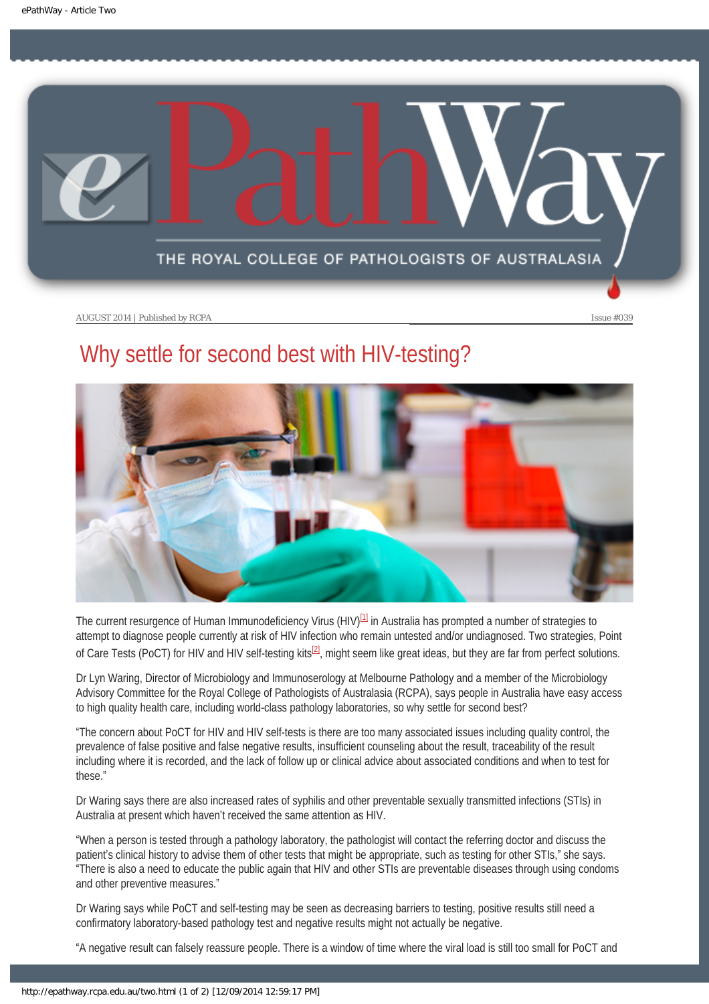<span id="page-7-0"></span>

# Why settle for second best with HIV-testing?



<span id="page-7-1"></span>The current resurgence of Human Immunodeficiency Virus (HIV) $[1]$  in Australia has prompted a number of strategies to attempt to diagnose people currently at risk of HIV infection who remain untested and/or undiagnosed. Two strategies, Point of Care Tests (PoCT) for HIV and HIV self-testing kits<sup>[\[2\]](#page-8-1)</sup>, might seem like great ideas, but they are far from perfect solutions.

<span id="page-7-2"></span>Dr Lyn Waring, Director of Microbiology and Immunoserology at Melbourne Pathology and a member of the Microbiology Advisory Committee for the Royal College of Pathologists of Australasia (RCPA), says people in Australia have easy access to high quality health care, including world-class pathology laboratories, so why settle for second best?

"The concern about PoCT for HIV and HIV self-tests is there are too many associated issues including quality control, the prevalence of false positive and false negative results, insufficient counseling about the result, traceability of the result including where it is recorded, and the lack of follow up or clinical advice about associated conditions and when to test for these."

Dr Waring says there are also increased rates of syphilis and other preventable sexually transmitted infections (STIs) in Australia at present which haven't received the same attention as HIV.

"When a person is tested through a pathology laboratory, the pathologist will contact the referring doctor and discuss the patient's clinical history to advise them of other tests that might be appropriate, such as testing for other STIs," she says. "There is also a need to educate the public again that HIV and other STIs are preventable diseases through using condoms and other preventive measures."

Dr Waring says while PoCT and self-testing may be seen as decreasing barriers to testing, positive results still need a confirmatory laboratory-based pathology test and negative results might not actually be negative.

"A negative result can falsely reassure people. There is a window of time where the viral load is still too small for PoCT and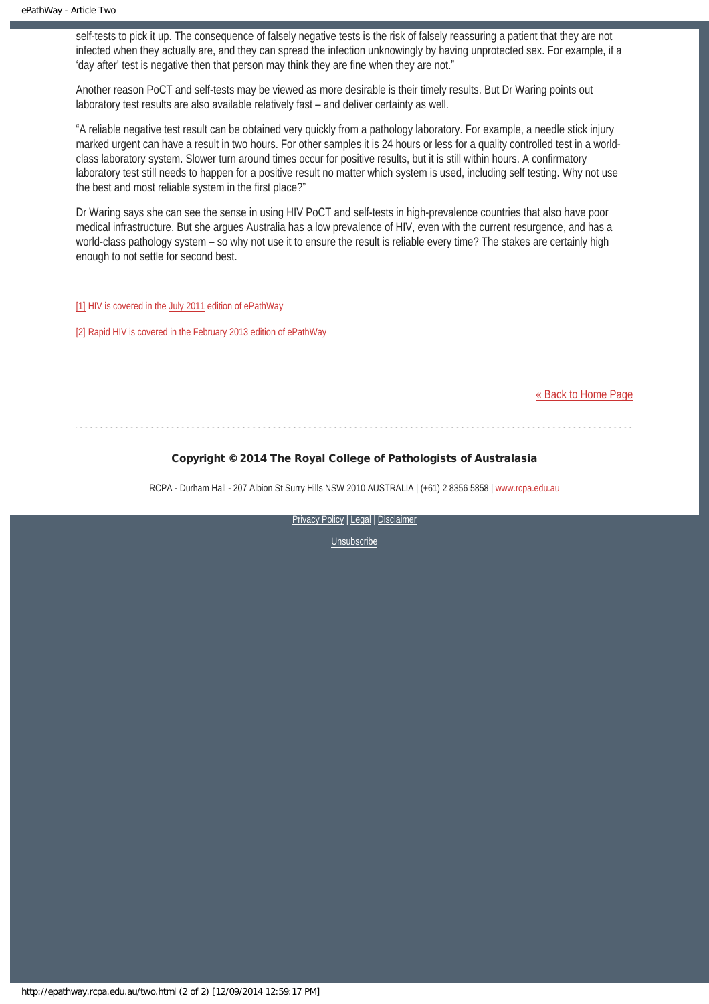self-tests to pick it up. The consequence of falsely negative tests is the risk of falsely reassuring a patient that they are not infected when they actually are, and they can spread the infection unknowingly by having unprotected sex. For example, if a 'day after' test is negative then that person may think they are fine when they are not."

Another reason PoCT and self-tests may be viewed as more desirable is their timely results. But Dr Waring points out laboratory test results are also available relatively fast – and deliver certainty as well.

"A reliable negative test result can be obtained very quickly from a pathology laboratory. For example, a needle stick injury marked urgent can have a result in two hours. For other samples it is 24 hours or less for a quality controlled test in a worldclass laboratory system. Slower turn around times occur for positive results, but it is still within hours. A confirmatory laboratory test still needs to happen for a positive result no matter which system is used, including self testing. Why not use the best and most reliable system in the first place?"

Dr Waring says she can see the sense in using HIV PoCT and self-tests in high-prevalence countries that also have poor medical infrastructure. But she argues Australia has a low prevalence of HIV, even with the current resurgence, and has a world-class pathology system – so why not use it to ensure the result is reliable every time? The stakes are certainly high enough to not settle for second best.

<span id="page-8-0"></span>[\[1\]](#page-7-1) HIV is covered in the [July 2011](http://epathway.rcpa.edu.au/previous/005_0711.pdf) edition of ePathWay

<span id="page-8-1"></span>[\[2\]](#page-7-2) Rapid HIV is covered in the **February 2013** edition of ePathWay

[« Back to Home Page](http://epathway.rcpa.edu.au/index.html)

#### Copyright © 2014 The Royal College of Pathologists of Australasia

RCPA - Durham Hall - 207 Albion St Surry Hills NSW 2010 AUSTRALIA | (+61) 2 8356 5858 | [www.rcpa.edu.au](http://www.rcpa.edu.au/)

[Privacy Policy](http://www.rcpa.edu.au/Content-Library/Privacy.aspx) | [Legal](http://www.rcpa.edu.au/Legal.aspx) | Disclaimer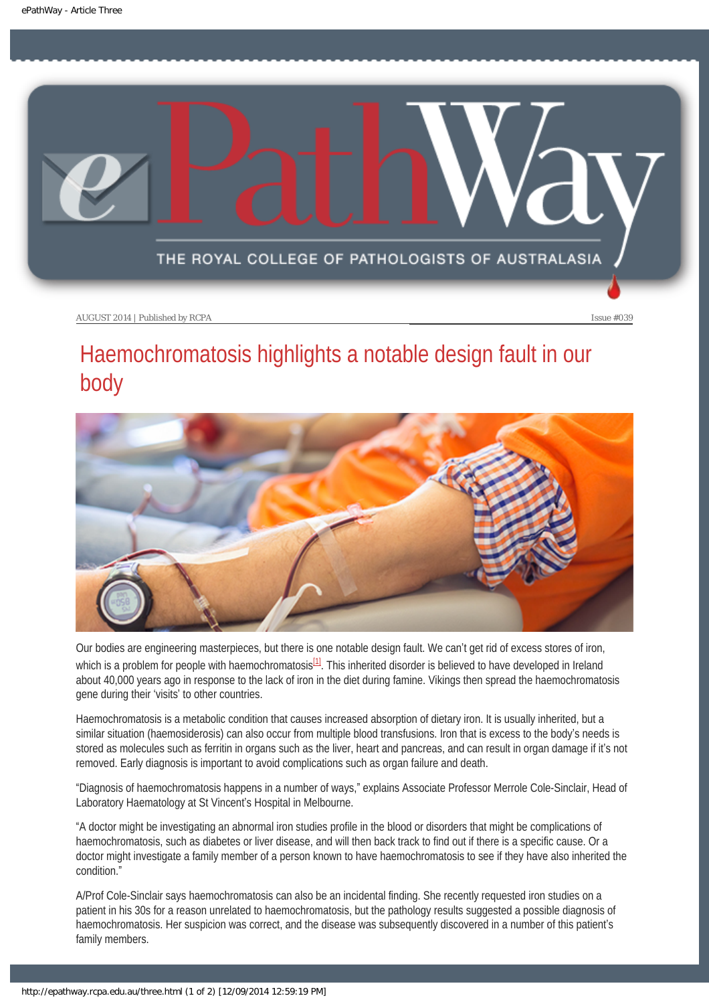<span id="page-9-0"></span>

# Haemochromatosis highlights a notable design fault in our body



<span id="page-9-1"></span>Our bodies are engineering masterpieces, but there is one notable design fault. We can't get rid of excess stores of iron, which is a problem for people with haemochromatosis $^{[1]}$  $^{[1]}$  $^{[1]}$ . This inherited disorder is believed to have developed in Ireland about 40,000 years ago in response to the lack of iron in the diet during famine. Vikings then spread the haemochromatosis gene during their 'visits' to other countries.

Haemochromatosis is a metabolic condition that causes increased absorption of dietary iron. It is usually inherited, but a similar situation (haemosiderosis) can also occur from multiple blood transfusions. Iron that is excess to the body's needs is stored as molecules such as ferritin in organs such as the liver, heart and pancreas, and can result in organ damage if it's not removed. Early diagnosis is important to avoid complications such as organ failure and death.

"Diagnosis of haemochromatosis happens in a number of ways," explains Associate Professor Merrole Cole-Sinclair, Head of Laboratory Haematology at St Vincent's Hospital in Melbourne.

"A doctor might be investigating an abnormal iron studies profile in the blood or disorders that might be complications of haemochromatosis, such as diabetes or liver disease, and will then back track to find out if there is a specific cause. Or a doctor might investigate a family member of a person known to have haemochromatosis to see if they have also inherited the condition."

A/Prof Cole-Sinclair says haemochromatosis can also be an incidental finding. She recently requested iron studies on a patient in his 30s for a reason unrelated to haemochromatosis, but the pathology results suggested a possible diagnosis of haemochromatosis. Her suspicion was correct, and the disease was subsequently discovered in a number of this patient's family members.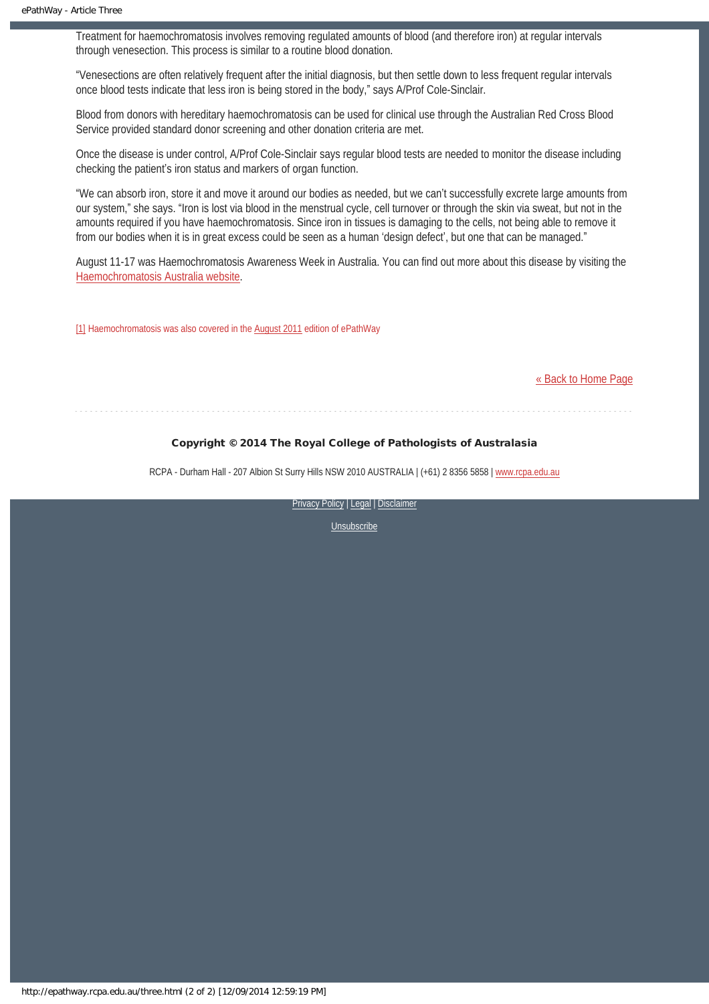Treatment for haemochromatosis involves removing regulated amounts of blood (and therefore iron) at regular intervals through venesection. This process is similar to a routine blood donation.

"Venesections are often relatively frequent after the initial diagnosis, but then settle down to less frequent regular intervals once blood tests indicate that less iron is being stored in the body," says A/Prof Cole-Sinclair.

Blood from donors with hereditary haemochromatosis can be used for clinical use through the Australian Red Cross Blood Service provided standard donor screening and other donation criteria are met.

Once the disease is under control, A/Prof Cole-Sinclair says regular blood tests are needed to monitor the disease including checking the patient's iron status and markers of organ function.

"We can absorb iron, store it and move it around our bodies as needed, but we can't successfully excrete large amounts from our system," she says. "Iron is lost via blood in the menstrual cycle, cell turnover or through the skin via sweat, but not in the amounts required if you have haemochromatosis. Since iron in tissues is damaging to the cells, not being able to remove it from our bodies when it is in great excess could be seen as a human 'design defect', but one that can be managed."

August 11-17 was Haemochromatosis Awareness Week in Australia. You can find out more about this disease by visiting the [Haemochromatosis Australia website](http://haemochromatosis.org.au/).

<span id="page-10-0"></span>[\[1\]](#page-9-1) Haemochromatosis was also covered in the [August 2011](http://epathway.rcpa.edu.au/previous/006_0811.pdf) edition of ePathWay

#### [« Back to Home Page](http://epathway.rcpa.edu.au/index.html)

### Copyright © 2014 The Royal College of Pathologists of Australasia

RCPA - Durham Hall - 207 Albion St Surry Hills NSW 2010 AUSTRALIA | (+61) 2 8356 5858 | [www.rcpa.edu.au](http://www.rcpa.edu.au/)

[Privacy Policy](http://www.rcpa.edu.au/Content-Library/Privacy.aspx) | [Legal](http://www.rcpa.edu.au/Legal.aspx) | Disclaimer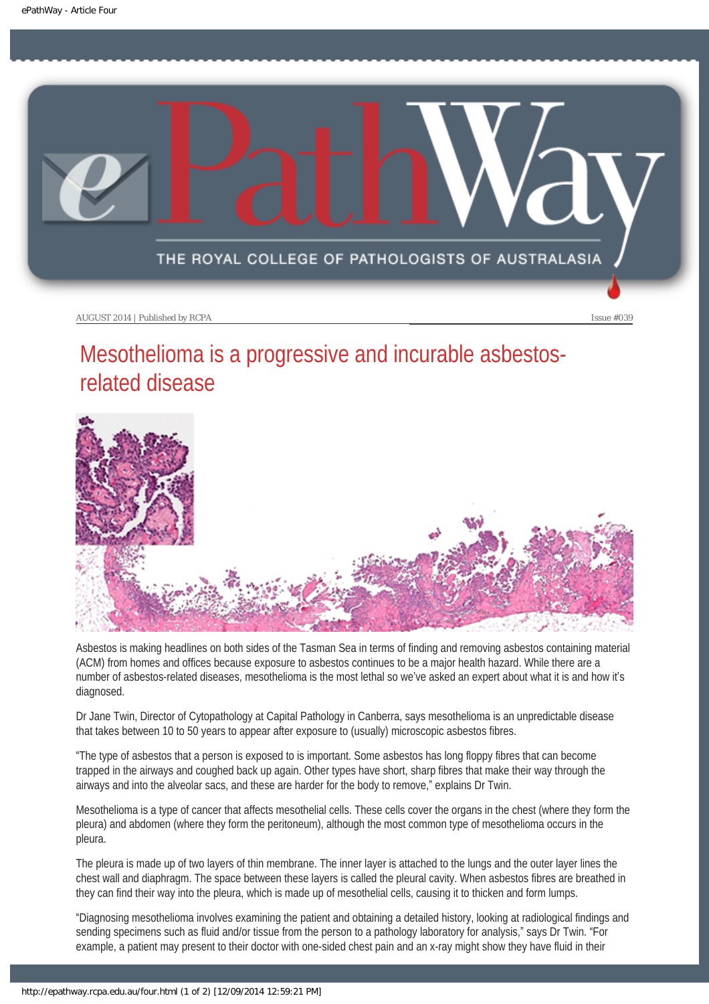<span id="page-11-0"></span>

# Mesothelioma is a progressive and incurable asbestosrelated disease



Asbestos is making headlines on both sides of the Tasman Sea in terms of finding and removing asbestos containing material (ACM) from homes and offices because exposure to asbestos continues to be a major health hazard. While there are a number of asbestos-related diseases, mesothelioma is the most lethal so we've asked an expert about what it is and how it's diagnosed.

Dr Jane Twin, Director of Cytopathology at Capital Pathology in Canberra, says mesothelioma is an unpredictable disease that takes between 10 to 50 years to appear after exposure to (usually) microscopic asbestos fibres.

"The type of asbestos that a person is exposed to is important. Some asbestos has long floppy fibres that can become trapped in the airways and coughed back up again. Other types have short, sharp fibres that make their way through the airways and into the alveolar sacs, and these are harder for the body to remove," explains Dr Twin.

Mesothelioma is a type of cancer that affects mesothelial cells. These cells cover the organs in the chest (where they form the pleura) and abdomen (where they form the peritoneum), although the most common type of mesothelioma occurs in the pleura.

The pleura is made up of two layers of thin membrane. The inner layer is attached to the lungs and the outer layer lines the chest wall and diaphragm. The space between these layers is called the pleural cavity. When asbestos fibres are breathed in they can find their way into the pleura, which is made up of mesothelial cells, causing it to thicken and form lumps.

"Diagnosing mesothelioma involves examining the patient and obtaining a detailed history, looking at radiological findings and sending specimens such as fluid and/or tissue from the person to a pathology laboratory for analysis," says Dr Twin. "For example, a patient may present to their doctor with one-sided chest pain and an x-ray might show they have fluid in their